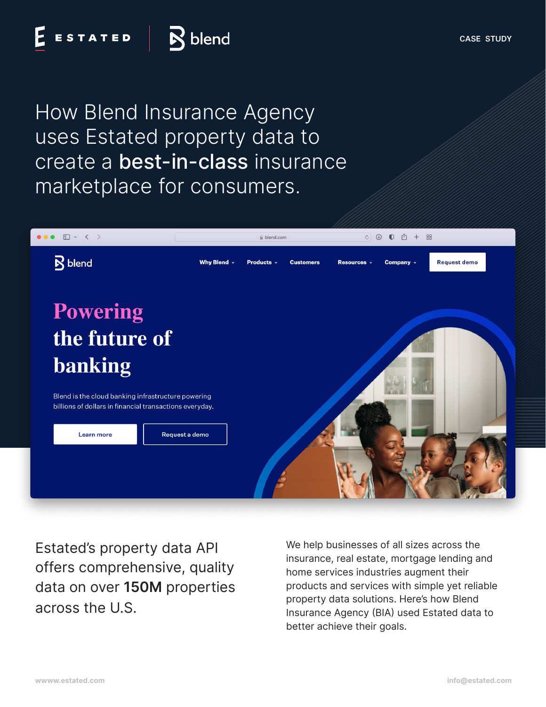How Blend Insurance Agency uses Estated property data to create a best-in-class insurance marketplace for consumers.



Estated's property data API offers comprehensive, quality data on over **150M** properties across the U.S.

We help businesses of all sizes across the insurance, real estate, mortgage lending and home services industries augment their products and services with simple yet reliable property data solutions. Here's how Blend Insurance Agency (BIA) used Estated data to better achieve their goals.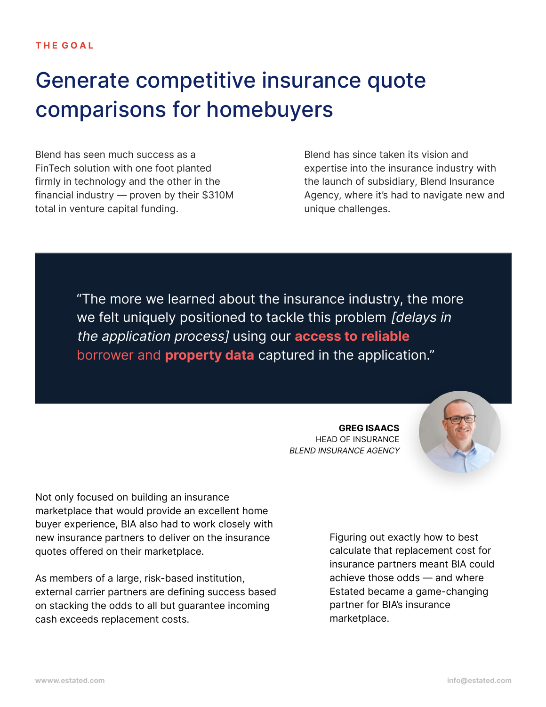### Generate competitive insurance quote comparisons for homebuyers

Blend has seen much success as a FinTech solution with one foot planted firmly in technology and the other in the financial industry — proven by their \$310M total in venture capital funding.

Blend has since taken its vision and expertise into the insurance industry with the launch of subsidiary, Blend Insurance Agency, where it's had to navigate new and unique challenges.

"The more we learned about the insurance industry, the more we felt uniquely positioned to tackle this problem [delays in the application process] using our **access to reliable** borrower and **property data** captured in the application."

> **GREG ISAACS** HEAD OF INSURANCE BLEND INSURANCE AGENCY



Not only focused on building an insurance marketplace that would provide an excellent home buyer experience, BIA also had to work closely with new insurance partners to deliver on the insurance quotes offered on their marketplace.

As members of a large, risk-based institution, external carrier partners are defining success based on stacking the odds to all but guarantee incoming cash exceeds replacement costs.

Figuring out exactly how to best calculate that replacement cost for insurance partners meant BlA could achieve those odds — and where Estated became a game-changing partner for BIA's insurance marketplace.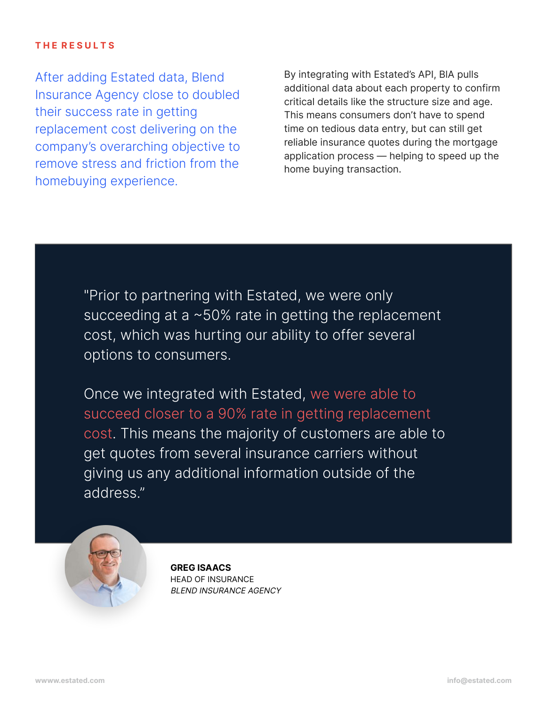#### **T H E R E S U L T S**

After adding Estated data, Blend Insurance Agency close to doubled their success rate in getting replacement cost delivering on the company's overarching objective to remove stress and friction from the homebuying experience.

By integrating with Estated's API, BlA pulls additional data about each property to confirm critical details like the structure size and age. This means consumers don't have to spend time on tedious data entry, but can still get reliable insurance quotes during the mortgage application process — helping to speed up the home buying transaction.

"Prior to partnering with Estated, we were only succeeding at a ~50% rate in getting the replacement cost, which was hurting our ability to offer several options to consumers.

Once we integrated with Estated, we were able to succeed closer to a 90% rate in getting replacement cost. This means the majority of customers are able to get quotes from several insurance carriers without giving us any additional information outside of the address."



**GREG ISAACS** HEAD OF INSURANCE BLEND INSURANCE AGENCY